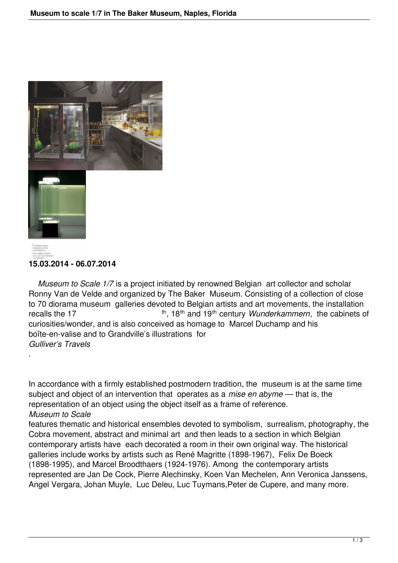



.

## **15.03.2014 - 06.07.2014**

 *Museum to Scale 1/7* is a project initiated by renowned Belgian art collector and scholar Ronny Van de Velde and organized by The Baker Museum. Consisting of a collection of close to 70 diorama museum galleries devoted to Belgian artists and art movements, the installation recalls the 17 th, 18<sup>th</sup>, 18<sup>th</sup> and 19<sup>th</sup> century *Wunderkammern*, the cabinets of curiosities/wonder, and is also conceived as homage to Marcel Duchamp and his boîte-en-valise and to Grandville's illustrations for *Gulliver's Travels*

In accordance with a firmly established postmodern tradition, the museum is at the same time subject and object of an intervention that operates as a *mise en abyme* — that is, the representation of an object using the object itself as a frame of reference. *Museum to Scale*

features thematic and historical ensembles devoted to symbolism, surrealism, photography, the Cobra movement, abstract and minimal art and then leads to a section in which Belgian contemporary artists have each decorated a room in their own original way. The historical galleries include works by artists such as René Magritte (1898-1967), Felix De Boeck (1898-1995), and Marcel Broodthaers (1924-1976). Among the contemporary artists represented are Jan De Cock, Pierre Alechinsky, Koen Van Mechelen, Ann Veronica Janssens, Angel Vergara, Johan Muyle, Luc Deleu, Luc Tuymans,Peter de Cupere, and many more.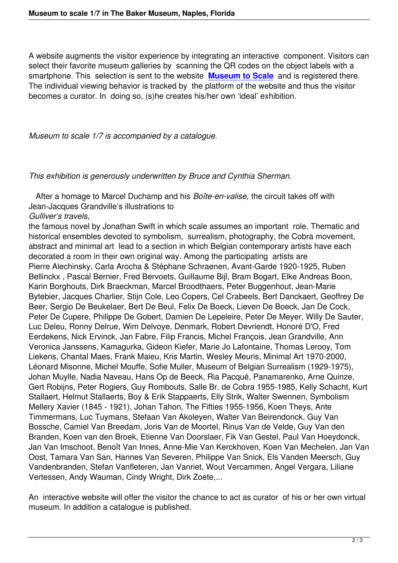A website augments the visitor experience by integrating an interactive component. Visitors can select their favorite museum galleries by scanning the QR codes on the object labels with a smartphone. This selection is sent to the website **Museum to Scale** and is registered there. The individual viewing behavior is tracked by the platform of the website and thus the visitor becomes a curator. In doing so, (s)he creates his/her own 'ideal' exhibition.

*Museum to scale 1/7 is accompanied by a catalogue.*

*This exhibition is generously underwritten by Bruce and Cynthia Sherman.*

 After a homage to Marcel Duchamp and his *Boîte-en-valise,* the circuit takes off with Jean-Jacques Grandville's illustrations to *Gulliver's travels,*

the famous novel by Jonathan Swift in which scale assumes an important role. Thematic and historical ensembles devoted to symbolism, surrealism, photography, the Cobra movement, abstract and minimal art lead to a section in which Belgian contemporary artists have each decorated a room in their own original way. Among the participating artists are Pierre Alechinsky, Carla Arocha & Stéphane Schraenen, Avant-Garde 1920-1925, Ruben Bellinckx , Pascal Bernier, Fred Bervoets, Guillaume Bijl, Bram Bogart, Elke Andreas Boon, Karin Borghouts, Dirk Braeckman, Marcel Broodthaers, Peter Buggenhout, Jean-Marie Bytebier, Jacques Charlier, Stijn Cole, Leo Copers, Cel Crabeels, Bert Danckaert, Geoffrey De Beer, Sergio De Beukelaer, Bert De Beul, Felix De Boeck, Lieven De Boeck, Jan De Cock, Peter De Cupere, Philippe De Gobert, Damien De Lepeleire, Peter De Meyer, Willy De Sauter, Luc Deleu, Ronny Delrue, Wim Delvoye, Denmark, Robert Devriendt, Honoré D'O, Fred Eerdekens, Nick Ervinck, Jan Fabre, Filip Francis, Michel François, Jean Grandville, Ann Veronica Janssens, Kamagurka, Gideon Kiefer, Marie Jo Lafontaine, Thomas Lerooy, Tom Liekens, Chantal Maes, Frank Maieu, Kris Martin, Wesley Meuris, Minimal Art 1970-2000, Léonard Misonne, Michel Mouffe, Sofie Muller, Museum of Belgian Surrealism (1929-1975), Johan Muylle, Nadia Naveau, Hans Op de Beeck, Ria Pacqué, Panamarenko, Arne Quinze, Gert Robijns, Peter Rogiers, Guy Rombouts, Salle Br. de Cobra 1955-1985, Kelly Schacht, Kurt Stallaert, Helmut Stallaerts, Boy & Erik Stappaerts, Elly Strik, Walter Swennen, Symbolism Mellery Xavier (1845 - 1921), Johan Tahon, The Fifties 1955-1956, Koen Theys, Ante Timmermans, Luc Tuymans, Stefaan Van Akoleyen, Walter Van Beirendonck, Guy Van Bossche, Camiel Van Breedam, Joris Van de Moortel, Rinus Van de Velde, Guy Van den Branden, Koen van den Broek, Etienne Van Doorslaer, Fik Van Gestel, Paul Van Hoeydonck, Jan Van Imschoot, Benoît Van Innes, Anne-Mie Van Kerckhoven, Koen Van Mechelen, Jan Van Oost, Tamara Van San, Hannes Van Severen, Philippe Van Snick, Els Vanden Meersch, Guy Vandenbranden, Stefan Vanfleteren, Jan Vanriet, Wout Vercammen, Angel Vergara, Liliane Vertessen, Andy Wauman, Cindy Wright, Dirk Zoete,...

An interactive website will offer the visitor the chance to act as curator of his or her own virtual museum. In addition a catalogue is published.